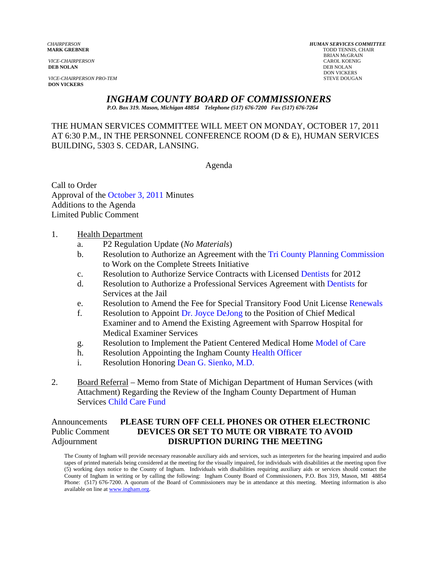**DEB NOLAN** DEB NOLAN

*VICE-CHAIRPERSON PRO-TEM* STEVE DOUGAN **DON VICKERS** 

*CHAIRPERSON HUMAN SERVICES COMMITTEE* **TODD TENNIS, CHAIR** BRIAN McGRAIN *VICE-CHAIRPERSON* CAROL KOENIG **DON VICKERS** 

# *INGHAM COUNTY BOARD OF COMMISSIONERS*

*P.O. Box 319. Mason, Michigan 48854 Telephone (517) 676-7200 Fax (517) 676-7264*

THE HUMAN SERVICES COMMITTEE WILL MEET ON MONDAY, OCTOBER 17, 2011 AT 6:30 P.M., IN THE PERSONNEL CONFERENCE ROOM (D & E), HUMAN SERVICES BUILDING, 5303 S. CEDAR, LANSING.

Agenda

Call to Order Approval of [the October 3, 2011 Minutes](#page-1-0)  Additions to the Agenda Limited Public Comment

#### 1. Health Department

- a. P2 Regulation Update (*No Materials*)
- b. Resolution to Authorize an Agreement with t[he Tri County Planning Commission](#page-10-0)  to Work on the Complete Streets Initiative
- c. Resolution to Authorize Service Contracts with Lice[nsed Dentists for 2](#page-12-0)012
- d. Resolution to Authorize a Professional Services Agreement wit[h Dentists for](#page-14-0)  Services at the Jail
- e. Resolution to Amend the Fee for Special Transitory Food Unit Lice[nse Renewals](#page-16-0)
- f. Resolution to Appo[int Dr. Joyce DeJong to the](#page-18-0) Position of Chief Medical Examiner and to Amend the Existing Agreement with Sparrow Hospital for Medical Examiner Services
- g. Resolution to Implement the Patient Centered Medical Ho[me Model of Care](#page-21-0)
- h. Resolution Appointing the Ingham Count[y Health Officer](#page-26-0)
- i. Resolution Honori[ng Dean G. Sienko, M.D](#page-27-0).
- 2. Board Referral Memo from State of Michigan Department of Human Services (with Attachment) Regarding the Review of the Ingham County Department of Human Servic[es Child Care Fund](#page-28-0)

# Announcements **PLEASE TURN OFF CELL PHONES OR OTHER ELECTRONIC** Public Comment **DEVICES OR SET TO MUTE OR VIBRATE TO AVOID** Adjournment **DISRUPTION DURING THE MEETING**

The County of Ingham will provide necessary reasonable auxiliary aids and services, such as interpreters for the hearing impaired and audio tapes of printed materials being considered at the meeting for the visually impaired, for individuals with disabilities at the meeting upon five (5) working days notice to the County of Ingham. Individuals with disabilities requiring auxiliary aids or services should contact the County of Ingham in writing or by calling the following: Ingham County Board of Commissioners, P.O. Box 319, Mason, MI 48854 Phone: (517) 676-7200. A quorum of the Board of Commissioners may be in attendance at this meeting. Meeting information is also available on line at www.ingham.org.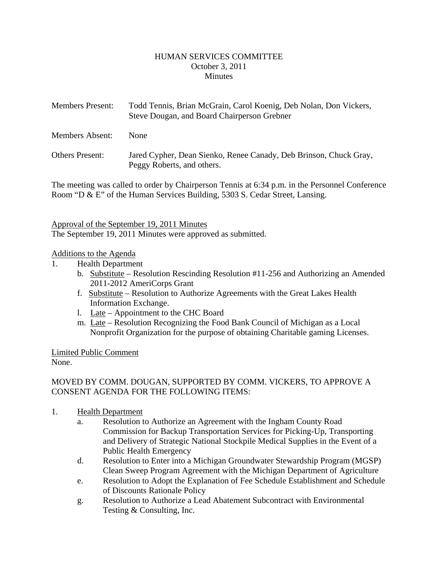#### HUMAN SERVICES COMMITTEE October 3, 2011 **Minutes**

<span id="page-1-0"></span>

| <b>Members Present:</b> | Todd Tennis, Brian McGrain, Carol Koenig, Deb Nolan, Don Vickers,<br>Steve Dougan, and Board Chairperson Grebner |
|-------------------------|------------------------------------------------------------------------------------------------------------------|
| Members Absent:         | <b>None</b>                                                                                                      |
| <b>Others Present:</b>  | Jared Cypher, Dean Sienko, Renee Canady, Deb Brinson, Chuck Gray,<br>Peggy Roberts, and others.                  |

The meeting was called to order by Chairperson Tennis at 6:34 p.m. in the Personnel Conference Room "D & E" of the Human Services Building, 5303 S. Cedar Street, Lansing.

#### Approval of the September 19, 2011 Minutes

The September 19, 2011 Minutes were approved as submitted.

#### Additions to the Agenda

- 1. Health Department
	- b. Substitute Resolution Rescinding Resolution #11-256 and Authorizing an Amended 2011-2012 AmeriCorps Grant
	- f. Substitute Resolution to Authorize Agreements with the Great Lakes Health Information Exchange.
	- l. Late Appointment to the CHC Board
	- m. Late Resolution Recognizing the Food Bank Council of Michigan as a Local Nonprofit Organization for the purpose of obtaining Charitable gaming Licenses.

#### Limited Public Comment None.

# MOVED BY COMM. DOUGAN, SUPPORTED BY COMM. VICKERS, TO APPROVE A CONSENT AGENDA FOR THE FOLLOWING ITEMS:

- 1. Health Department
	- a. Resolution to Authorize an Agreement with the Ingham County Road Commission for Backup Transportation Services for Picking-Up, Transporting and Delivery of Strategic National Stockpile Medical Supplies in the Event of a Public Health Emergency
	- d. Resolution to Enter into a Michigan Groundwater Stewardship Program (MGSP) Clean Sweep Program Agreement with the Michigan Department of Agriculture
	- e. Resolution to Adopt the Explanation of Fee Schedule Establishment and Schedule of Discounts Rationale Policy
	- g. Resolution to Authorize a Lead Abatement Subcontract with Environmental Testing & Consulting, Inc.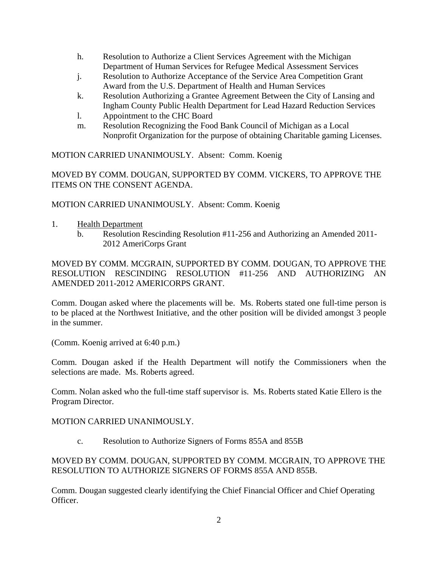- h. Resolution to Authorize a Client Services Agreement with the Michigan Department of Human Services for Refugee Medical Assessment Services
- j. Resolution to Authorize Acceptance of the Service Area Competition Grant Award from the U.S. Department of Health and Human Services
- k. Resolution Authorizing a Grantee Agreement Between the City of Lansing and Ingham County Public Health Department for Lead Hazard Reduction Services
- l. Appointment to the CHC Board
- m. Resolution Recognizing the Food Bank Council of Michigan as a Local Nonprofit Organization for the purpose of obtaining Charitable gaming Licenses.

MOTION CARRIED UNANIMOUSLY. Absent: Comm. Koenig

MOVED BY COMM. DOUGAN, SUPPORTED BY COMM. VICKERS, TO APPROVE THE ITEMS ON THE CONSENT AGENDA.

MOTION CARRIED UNANIMOUSLY. Absent: Comm. Koenig

- 1. Health Department
	- b. Resolution Rescinding Resolution #11-256 and Authorizing an Amended 2011- 2012 AmeriCorps Grant

MOVED BY COMM. MCGRAIN, SUPPORTED BY COMM. DOUGAN, TO APPROVE THE RESOLUTION RESCINDING RESOLUTION #11-256 AND AUTHORIZING AN AMENDED 2011-2012 AMERICORPS GRANT.

Comm. Dougan asked where the placements will be. Ms. Roberts stated one full-time person is to be placed at the Northwest Initiative, and the other position will be divided amongst 3 people in the summer.

(Comm. Koenig arrived at 6:40 p.m.)

Comm. Dougan asked if the Health Department will notify the Commissioners when the selections are made. Ms. Roberts agreed.

Comm. Nolan asked who the full-time staff supervisor is. Ms. Roberts stated Katie Ellero is the Program Director.

MOTION CARRIED UNANIMOUSLY.

c. Resolution to Authorize Signers of Forms 855A and 855B

# MOVED BY COMM. DOUGAN, SUPPORTED BY COMM. MCGRAIN, TO APPROVE THE RESOLUTION TO AUTHORIZE SIGNERS OF FORMS 855A AND 855B.

Comm. Dougan suggested clearly identifying the Chief Financial Officer and Chief Operating Officer.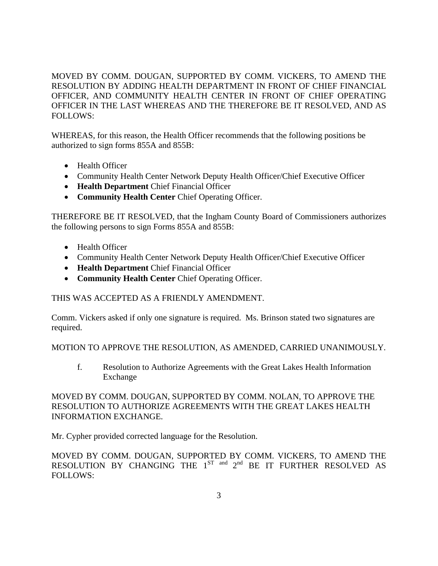MOVED BY COMM. DOUGAN, SUPPORTED BY COMM. VICKERS, TO AMEND THE RESOLUTION BY ADDING HEALTH DEPARTMENT IN FRONT OF CHIEF FINANCIAL OFFICER, AND COMMUNITY HEALTH CENTER IN FRONT OF CHIEF OPERATING OFFICER IN THE LAST WHEREAS AND THE THEREFORE BE IT RESOLVED, AND AS FOLLOWS:

WHEREAS, for this reason, the Health Officer recommends that the following positions be authorized to sign forms 855A and 855B:

- Health Officer
- Community Health Center Network Deputy Health Officer/Chief Executive Officer
- **Health Department** Chief Financial Officer
- **Community Health Center** Chief Operating Officer.

THEREFORE BE IT RESOLVED, that the Ingham County Board of Commissioners authorizes the following persons to sign Forms 855A and 855B:

- Health Officer
- Community Health Center Network Deputy Health Officer/Chief Executive Officer
- **Health Department** Chief Financial Officer
- **Community Health Center** Chief Operating Officer.

# THIS WAS ACCEPTED AS A FRIENDLY AMENDMENT.

Comm. Vickers asked if only one signature is required. Ms. Brinson stated two signatures are required.

MOTION TO APPROVE THE RESOLUTION, AS AMENDED, CARRIED UNANIMOUSLY.

f. Resolution to Authorize Agreements with the Great Lakes Health Information Exchange

# MOVED BY COMM. DOUGAN, SUPPORTED BY COMM. NOLAN, TO APPROVE THE RESOLUTION TO AUTHORIZE AGREEMENTS WITH THE GREAT LAKES HEALTH INFORMATION EXCHANGE.

Mr. Cypher provided corrected language for the Resolution.

MOVED BY COMM. DOUGAN, SUPPORTED BY COMM. VICKERS, TO AMEND THE RESOLUTION BY CHANGING THE  $1^{ST}$  and  $2^{nd}$  BE IT FURTHER RESOLVED AS FOLLOWS: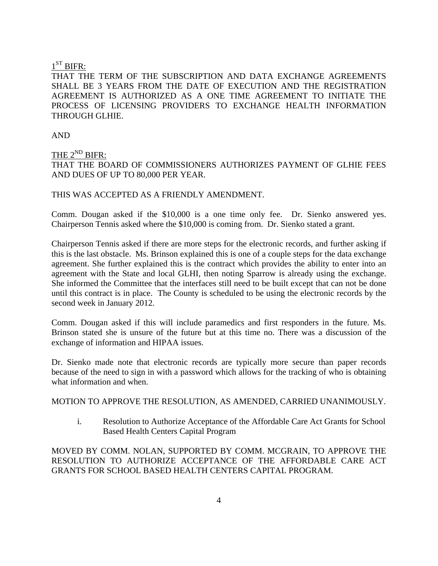#### $1<sup>ST</sup>$  BIFR:

THAT THE TERM OF THE SUBSCRIPTION AND DATA EXCHANGE AGREEMENTS SHALL BE 3 YEARS FROM THE DATE OF EXECUTION AND THE REGISTRATION AGREEMENT IS AUTHORIZED AS A ONE TIME AGREEMENT TO INITIATE THE PROCESS OF LICENSING PROVIDERS TO EXCHANGE HEALTH INFORMATION THROUGH GLHIE.

AND

# THE  $2^{ND}$  BIFR: THAT THE BOARD OF COMMISSIONERS AUTHORIZES PAYMENT OF GLHIE FEES AND DUES OF UP TO 80,000 PER YEAR.

#### THIS WAS ACCEPTED AS A FRIENDLY AMENDMENT.

Comm. Dougan asked if the \$10,000 is a one time only fee. Dr. Sienko answered yes. Chairperson Tennis asked where the \$10,000 is coming from. Dr. Sienko stated a grant.

Chairperson Tennis asked if there are more steps for the electronic records, and further asking if this is the last obstacle. Ms. Brinson explained this is one of a couple steps for the data exchange agreement. She further explained this is the contract which provides the ability to enter into an agreement with the State and local GLHI, then noting Sparrow is already using the exchange. She informed the Committee that the interfaces still need to be built except that can not be done until this contract is in place. The County is scheduled to be using the electronic records by the second week in January 2012.

Comm. Dougan asked if this will include paramedics and first responders in the future. Ms. Brinson stated she is unsure of the future but at this time no. There was a discussion of the exchange of information and HIPAA issues.

Dr. Sienko made note that electronic records are typically more secure than paper records because of the need to sign in with a password which allows for the tracking of who is obtaining what information and when.

MOTION TO APPROVE THE RESOLUTION, AS AMENDED, CARRIED UNANIMOUSLY.

i. Resolution to Authorize Acceptance of the Affordable Care Act Grants for School Based Health Centers Capital Program

MOVED BY COMM. NOLAN, SUPPORTED BY COMM. MCGRAIN, TO APPROVE THE RESOLUTION TO AUTHORIZE ACCEPTANCE OF THE AFFORDABLE CARE ACT GRANTS FOR SCHOOL BASED HEALTH CENTERS CAPITAL PROGRAM.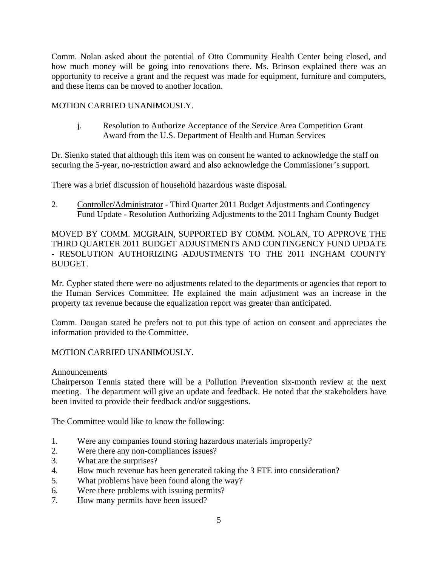Comm. Nolan asked about the potential of Otto Community Health Center being closed, and how much money will be going into renovations there. Ms. Brinson explained there was an opportunity to receive a grant and the request was made for equipment, furniture and computers, and these items can be moved to another location.

## MOTION CARRIED UNANIMOUSLY.

j. Resolution to Authorize Acceptance of the Service Area Competition Grant Award from the U.S. Department of Health and Human Services

Dr. Sienko stated that although this item was on consent he wanted to acknowledge the staff on securing the 5-year, no-restriction award and also acknowledge the Commissioner's support.

There was a brief discussion of household hazardous waste disposal.

2. Controller/Administrator - Third Quarter 2011 Budget Adjustments and Contingency Fund Update - Resolution Authorizing Adjustments to the 2011 Ingham County Budget

MOVED BY COMM. MCGRAIN, SUPPORTED BY COMM. NOLAN, TO APPROVE THE THIRD QUARTER 2011 BUDGET ADJUSTMENTS AND CONTINGENCY FUND UPDATE - RESOLUTION AUTHORIZING ADJUSTMENTS TO THE 2011 INGHAM COUNTY BUDGET.

Mr. Cypher stated there were no adjustments related to the departments or agencies that report to the Human Services Committee. He explained the main adjustment was an increase in the property tax revenue because the equalization report was greater than anticipated.

Comm. Dougan stated he prefers not to put this type of action on consent and appreciates the information provided to the Committee.

# MOTION CARRIED UNANIMOUSLY.

#### Announcements

Chairperson Tennis stated there will be a Pollution Prevention six-month review at the next meeting. The department will give an update and feedback. He noted that the stakeholders have been invited to provide their feedback and/or suggestions.

The Committee would like to know the following:

- 1. Were any companies found storing hazardous materials improperly?
- 2. Were there any non-compliances issues?
- 3. What are the surprises?
- 4. How much revenue has been generated taking the 3 FTE into consideration?
- 5. What problems have been found along the way?
- 6. Were there problems with issuing permits?
- 7. How many permits have been issued?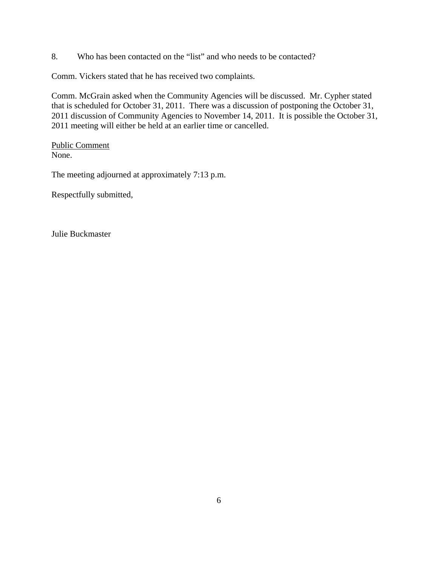8. Who has been contacted on the "list" and who needs to be contacted?

Comm. Vickers stated that he has received two complaints.

Comm. McGrain asked when the Community Agencies will be discussed. Mr. Cypher stated that is scheduled for October 31, 2011. There was a discussion of postponing the October 31, 2011 discussion of Community Agencies to November 14, 2011. It is possible the October 31, 2011 meeting will either be held at an earlier time or cancelled.

Public Comment None.

The meeting adjourned at approximately 7:13 p.m.

Respectfully submitted,

Julie Buckmaster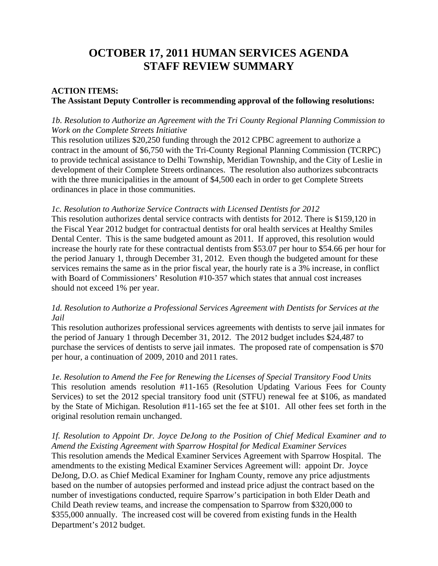# **OCTOBER 17, 2011 HUMAN SERVICES AGENDA STAFF REVIEW SUMMARY**

# **ACTION ITEMS: The Assistant Deputy Controller is recommending approval of the following resolutions:**

## *1b. Resolution to Authorize an Agreement with the Tri County Regional Planning Commission to Work on the Complete Streets Initiative*

This resolution utilizes \$20,250 funding through the 2012 CPBC agreement to authorize a contract in the amount of \$6,750 with the Tri-County Regional Planning Commission (TCRPC) to provide technical assistance to Delhi Township, Meridian Township, and the City of Leslie in development of their Complete Streets ordinances. The resolution also authorizes subcontracts with the three municipalities in the amount of \$4,500 each in order to get Complete Streets ordinances in place in those communities.

#### *1c. Resolution to Authorize Service Contracts with Licensed Dentists for 2012*

This resolution authorizes dental service contracts with dentists for 2012. There is \$159,120 in the Fiscal Year 2012 budget for contractual dentists for oral health services at Healthy Smiles Dental Center. This is the same budgeted amount as 2011. If approved, this resolution would increase the hourly rate for these contractual dentists from \$53.07 per hour to \$54.66 per hour for the period January 1, through December 31, 2012. Even though the budgeted amount for these services remains the same as in the prior fiscal year, the hourly rate is a 3% increase, in conflict with Board of Commissioners' Resolution #10-357 which states that annual cost increases should not exceed 1% per year.

#### *1d. Resolution to Authorize a Professional Services Agreement with Dentists for Services at the Jail*

This resolution authorizes professional services agreements with dentists to serve jail inmates for the period of January 1 through December 31, 2012. The 2012 budget includes \$24,487 to purchase the services of dentists to serve jail inmates. The proposed rate of compensation is \$70 per hour, a continuation of 2009, 2010 and 2011 rates.

*1e. Resolution to Amend the Fee for Renewing the Licenses of Special Transitory Food Units*  This resolution amends resolution #11-165 (Resolution Updating Various Fees for County Services) to set the 2012 special transitory food unit (STFU) renewal fee at \$106, as mandated by the State of Michigan. Resolution #11-165 set the fee at \$101. All other fees set forth in the original resolution remain unchanged.

*1f. Resolution to Appoint Dr. Joyce DeJong to the Position of Chief Medical Examiner and to Amend the Existing Agreement with Sparrow Hospital for Medical Examiner Services*  This resolution amends the Medical Examiner Services Agreement with Sparrow Hospital. The amendments to the existing Medical Examiner Services Agreement will: appoint Dr. Joyce DeJong, D.O. as Chief Medical Examiner for Ingham County, remove any price adjustments based on the number of autopsies performed and instead price adjust the contract based on the number of investigations conducted, require Sparrow's participation in both Elder Death and Child Death review teams, and increase the compensation to Sparrow from \$320,000 to \$355,000 annually. The increased cost will be covered from existing funds in the Health Department's 2012 budget.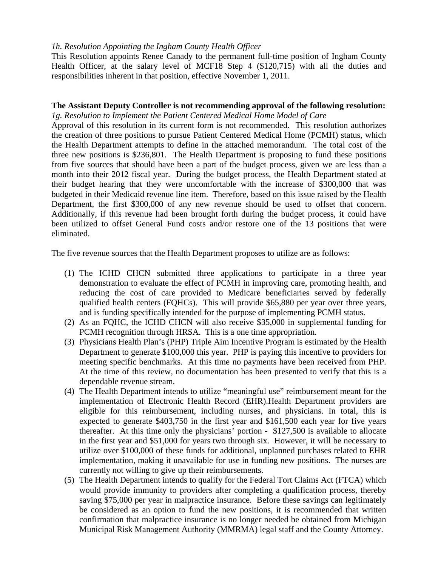#### *1h. Resolution Appointing the Ingham County Health Officer*

This Resolution appoints Renee Canady to the permanent full-time position of Ingham County Health Officer, at the salary level of MCF18 Step 4 (\$120,715) with all the duties and responsibilities inherent in that position, effective November 1, 2011.

#### **The Assistant Deputy Controller is not recommending approval of the following resolution:** *1g. Resolution to Implement the Patient Centered Medical Home Model of Care*

Approval of this resolution in its current form is not recommended. This resolution authorizes the creation of three positions to pursue Patient Centered Medical Home (PCMH) status, which the Health Department attempts to define in the attached memorandum. The total cost of the three new positions is \$236,801. The Health Department is proposing to fund these positions from five sources that should have been a part of the budget process, given we are less than a month into their 2012 fiscal year. During the budget process, the Health Department stated at their budget hearing that they were uncomfortable with the increase of \$300,000 that was budgeted in their Medicaid revenue line item. Therefore, based on this issue raised by the Health Department, the first \$300,000 of any new revenue should be used to offset that concern. Additionally, if this revenue had been brought forth during the budget process, it could have been utilized to offset General Fund costs and/or restore one of the 13 positions that were eliminated.

The five revenue sources that the Health Department proposes to utilize are as follows:

- (1) The ICHD CHCN submitted three applications to participate in a three year demonstration to evaluate the effect of PCMH in improving care, promoting health, and reducing the cost of care provided to Medicare beneficiaries served by federally qualified health centers (FQHCs). This will provide \$65,880 per year over three years, and is funding specifically intended for the purpose of implementing PCMH status.
- (2) As an FQHC, the ICHD CHCN will also receive \$35,000 in supplemental funding for PCMH recognition through HRSA. This is a one time appropriation.
- (3) Physicians Health Plan's (PHP) Triple Aim Incentive Program is estimated by the Health Department to generate \$100,000 this year. PHP is paying this incentive to providers for meeting specific benchmarks. At this time no payments have been received from PHP. At the time of this review, no documentation has been presented to verify that this is a dependable revenue stream.
- (4) The Health Department intends to utilize "meaningful use" reimbursement meant for the implementation of Electronic Health Record (EHR).Health Department providers are eligible for this reimbursement, including nurses, and physicians. In total, this is expected to generate \$403,750 in the first year and \$161,500 each year for five years thereafter. At this time only the physicians' portion - \$127,500 is available to allocate in the first year and \$51,000 for years two through six. However, it will be necessary to utilize over \$100,000 of these funds for additional, unplanned purchases related to EHR implementation, making it unavailable for use in funding new positions. The nurses are currently not willing to give up their reimbursements.
- (5) The Health Department intends to qualify for the Federal Tort Claims Act (FTCA) which would provide immunity to providers after completing a qualification process, thereby saving \$75,000 per year in malpractice insurance. Before these savings can legitimately be considered as an option to fund the new positions, it is recommended that written confirmation that malpractice insurance is no longer needed be obtained from Michigan Municipal Risk Management Authority (MMRMA) legal staff and the County Attorney.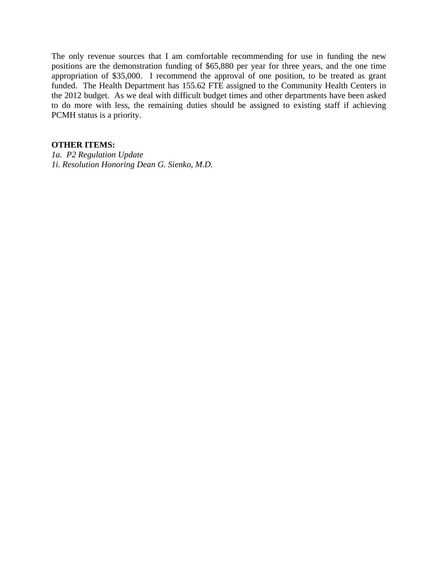The only revenue sources that I am comfortable recommending for use in funding the new positions are the demonstration funding of \$65,880 per year for three years, and the one time appropriation of \$35,000. I recommend the approval of one position, to be treated as grant funded. The Health Department has 155.62 FTE assigned to the Community Health Centers in the 2012 budget. As we deal with difficult budget times and other departments have been asked to do more with less, the remaining duties should be assigned to existing staff if achieving PCMH status is a priority.

#### **OTHER ITEMS:**

*1a. P2 Regulation Update 1i. Resolution Honoring Dean G. Sienko, M.D.*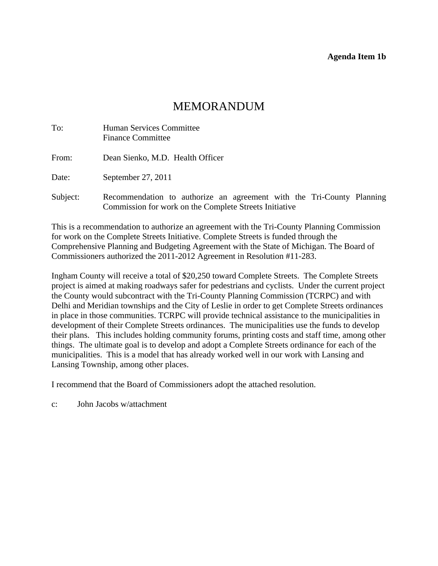#### **Agenda Item 1b**

# MEMORANDUM

<span id="page-10-0"></span>

| To:      | Human Services Committee<br><b>Finance Committee</b>                                                                            |
|----------|---------------------------------------------------------------------------------------------------------------------------------|
| From:    | Dean Sienko, M.D. Health Officer                                                                                                |
| Date:    | September 27, 2011                                                                                                              |
| Subject: | Recommendation to authorize an agreement with the Tri-County Planning<br>Commission for work on the Complete Streets Initiative |

This is a recommendation to authorize an agreement with the Tri-County Planning Commission for work on the Complete Streets Initiative. Complete Streets is funded through the Comprehensive Planning and Budgeting Agreement with the State of Michigan. The Board of Commissioners authorized the 2011-2012 Agreement in Resolution #11-283.

Ingham County will receive a total of \$20,250 toward Complete Streets. The Complete Streets project is aimed at making roadways safer for pedestrians and cyclists. Under the current project the County would subcontract with the Tri-County Planning Commission (TCRPC) and with Delhi and Meridian townships and the City of Leslie in order to get Complete Streets ordinances in place in those communities. TCRPC will provide technical assistance to the municipalities in development of their Complete Streets ordinances. The municipalities use the funds to develop their plans. This includes holding community forums, printing costs and staff time, among other things. The ultimate goal is to develop and adopt a Complete Streets ordinance for each of the municipalities. This is a model that has already worked well in our work with Lansing and Lansing Township, among other places.

I recommend that the Board of Commissioners adopt the attached resolution.

c: John Jacobs w/attachment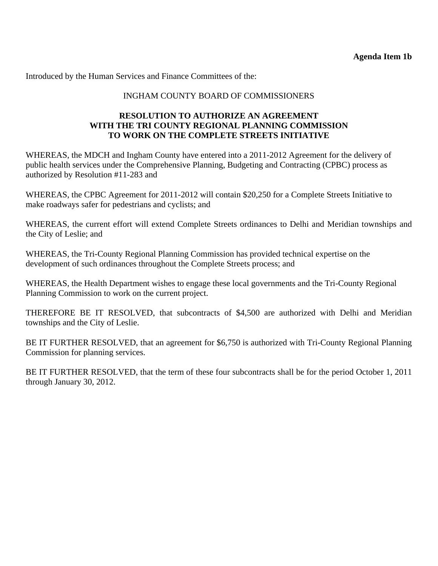Introduced by the Human Services and Finance Committees of the:

# INGHAM COUNTY BOARD OF COMMISSIONERS

# **RESOLUTION TO AUTHORIZE AN AGREEMENT WITH THE TRI COUNTY REGIONAL PLANNING COMMISSION TO WORK ON THE COMPLETE STREETS INITIATIVE**

WHEREAS, the MDCH and Ingham County have entered into a 2011-2012 Agreement for the delivery of public health services under the Comprehensive Planning, Budgeting and Contracting (CPBC) process as authorized by Resolution #11-283 and

WHEREAS, the CPBC Agreement for 2011-2012 will contain \$20,250 for a Complete Streets Initiative to make roadways safer for pedestrians and cyclists; and

WHEREAS, the current effort will extend Complete Streets ordinances to Delhi and Meridian townships and the City of Leslie; and

WHEREAS, the Tri-County Regional Planning Commission has provided technical expertise on the development of such ordinances throughout the Complete Streets process; and

WHEREAS, the Health Department wishes to engage these local governments and the Tri-County Regional Planning Commission to work on the current project.

THEREFORE BE IT RESOLVED, that subcontracts of \$4,500 are authorized with Delhi and Meridian townships and the City of Leslie.

BE IT FURTHER RESOLVED, that an agreement for \$6,750 is authorized with Tri-County Regional Planning Commission for planning services.

BE IT FURTHER RESOLVED, that the term of these four subcontracts shall be for the period October 1, 2011 through January 30, 2012.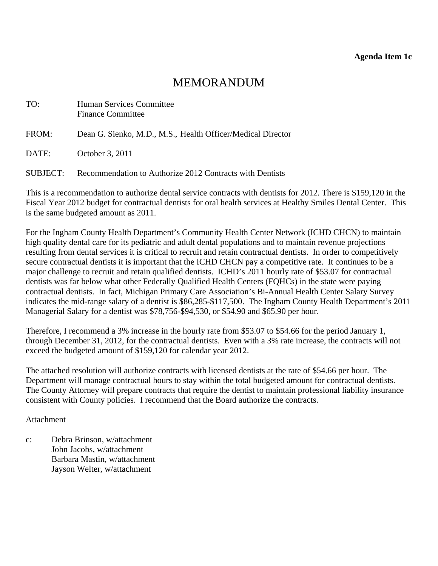# MEMORANDUM

<span id="page-12-0"></span>

| TO:      | <b>Human Services Committee</b><br><b>Finance Committee</b> |
|----------|-------------------------------------------------------------|
| FROM:    | Dean G. Sienko, M.D., M.S., Health Officer/Medical Director |
| DATE:    | October 3, 2011                                             |
| SUBJECT: | Recommendation to Authorize 2012 Contracts with Dentists    |

This is a recommendation to authorize dental service contracts with dentists for 2012. There is \$159,120 in the Fiscal Year 2012 budget for contractual dentists for oral health services at Healthy Smiles Dental Center. This is the same budgeted amount as 2011.

For the Ingham County Health Department's Community Health Center Network (ICHD CHCN) to maintain high quality dental care for its pediatric and adult dental populations and to maintain revenue projections resulting from dental services it is critical to recruit and retain contractual dentists. In order to competitively secure contractual dentists it is important that the ICHD CHCN pay a competitive rate. It continues to be a major challenge to recruit and retain qualified dentists. ICHD's 2011 hourly rate of \$53.07 for contractual dentists was far below what other Federally Qualified Health Centers (FQHCs) in the state were paying contractual dentists. In fact, Michigan Primary Care Association's Bi-Annual Health Center Salary Survey indicates the mid-range salary of a dentist is \$86,285-\$117,500. The Ingham County Health Department's 2011 Managerial Salary for a dentist was \$78,756-\$94,530, or \$54.90 and \$65.90 per hour.

Therefore, I recommend a 3% increase in the hourly rate from \$53.07 to \$54.66 for the period January 1, through December 31, 2012, for the contractual dentists. Even with a 3% rate increase, the contracts will not exceed the budgeted amount of \$159,120 for calendar year 2012.

The attached resolution will authorize contracts with licensed dentists at the rate of \$54.66 per hour. The Department will manage contractual hours to stay within the total budgeted amount for contractual dentists. The County Attorney will prepare contracts that require the dentist to maintain professional liability insurance consistent with County policies. I recommend that the Board authorize the contracts.

Attachment

c: Debra Brinson, w/attachment John Jacobs, w/attachment Barbara Mastin, w/attachment Jayson Welter, w/attachment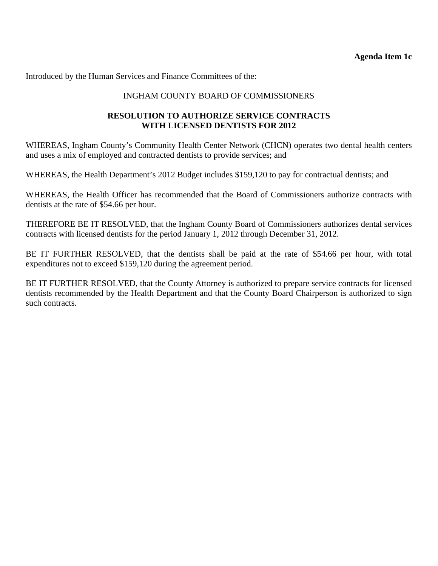Introduced by the Human Services and Finance Committees of the:

## INGHAM COUNTY BOARD OF COMMISSIONERS

## **RESOLUTION TO AUTHORIZE SERVICE CONTRACTS WITH LICENSED DENTISTS FOR 2012**

WHEREAS, Ingham County's Community Health Center Network (CHCN) operates two dental health centers and uses a mix of employed and contracted dentists to provide services; and

WHEREAS, the Health Department's 2012 Budget includes \$159,120 to pay for contractual dentists; and

WHEREAS, the Health Officer has recommended that the Board of Commissioners authorize contracts with dentists at the rate of \$54.66 per hour.

THEREFORE BE IT RESOLVED, that the Ingham County Board of Commissioners authorizes dental services contracts with licensed dentists for the period January 1, 2012 through December 31, 2012.

BE IT FURTHER RESOLVED, that the dentists shall be paid at the rate of \$54.66 per hour, with total expenditures not to exceed \$159,120 during the agreement period.

BE IT FURTHER RESOLVED, that the County Attorney is authorized to prepare service contracts for licensed dentists recommended by the Health Department and that the County Board Chairperson is authorized to sign such contracts.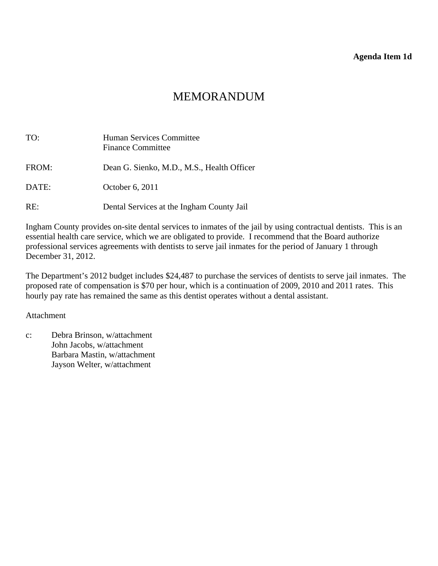#### **Agenda Item 1d**

# MEMORANDUM

<span id="page-14-0"></span>

| TO:   | <b>Human Services Committee</b><br><b>Finance Committee</b> |
|-------|-------------------------------------------------------------|
| FROM: | Dean G. Sienko, M.D., M.S., Health Officer                  |
| DATE: | October 6, 2011                                             |
| RE:   | Dental Services at the Ingham County Jail                   |

Ingham County provides on-site dental services to inmates of the jail by using contractual dentists. This is an essential health care service, which we are obligated to provide. I recommend that the Board authorize professional services agreements with dentists to serve jail inmates for the period of January 1 through December 31, 2012.

The Department's 2012 budget includes \$24,487 to purchase the services of dentists to serve jail inmates. The proposed rate of compensation is \$70 per hour, which is a continuation of 2009, 2010 and 2011 rates. This hourly pay rate has remained the same as this dentist operates without a dental assistant.

#### Attachment

c: Debra Brinson, w/attachment John Jacobs, w/attachment Barbara Mastin, w/attachment Jayson Welter, w/attachment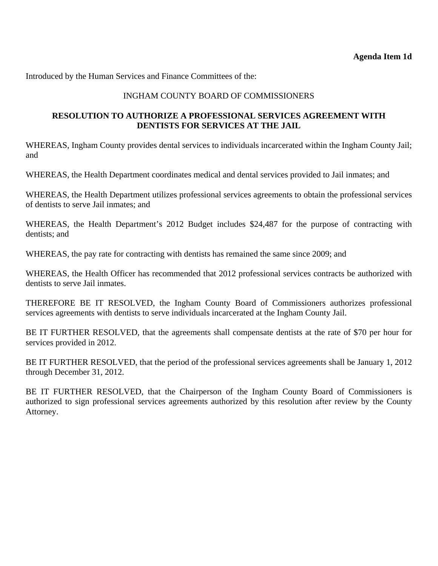Introduced by the Human Services and Finance Committees of the:

## INGHAM COUNTY BOARD OF COMMISSIONERS

#### **RESOLUTION TO AUTHORIZE A PROFESSIONAL SERVICES AGREEMENT WITH DENTISTS FOR SERVICES AT THE JAIL**

WHEREAS, Ingham County provides dental services to individuals incarcerated within the Ingham County Jail; and

WHEREAS, the Health Department coordinates medical and dental services provided to Jail inmates; and

WHEREAS, the Health Department utilizes professional services agreements to obtain the professional services of dentists to serve Jail inmates; and

WHEREAS, the Health Department's 2012 Budget includes \$24,487 for the purpose of contracting with dentists; and

WHEREAS, the pay rate for contracting with dentists has remained the same since 2009; and

WHEREAS, the Health Officer has recommended that 2012 professional services contracts be authorized with dentists to serve Jail inmates.

THEREFORE BE IT RESOLVED, the Ingham County Board of Commissioners authorizes professional services agreements with dentists to serve individuals incarcerated at the Ingham County Jail.

BE IT FURTHER RESOLVED, that the agreements shall compensate dentists at the rate of \$70 per hour for services provided in 2012.

BE IT FURTHER RESOLVED, that the period of the professional services agreements shall be January 1, 2012 through December 31, 2012.

BE IT FURTHER RESOLVED, that the Chairperson of the Ingham County Board of Commissioners is authorized to sign professional services agreements authorized by this resolution after review by the County Attorney.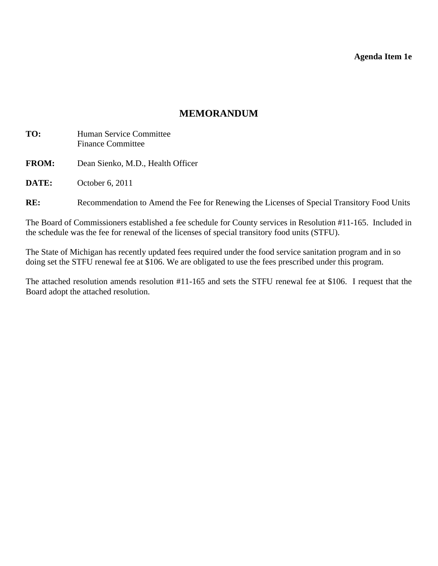**Agenda Item 1e** 

# **MEMORANDUM**

- <span id="page-16-0"></span>**TO:** Human Service Committee Finance Committee
- **FROM:** Dean Sienko, M.D., Health Officer

**DATE:** October 6, 2011

RE: Recommendation to Amend the Fee for Renewing the Licenses of Special Transitory Food Units

The Board of Commissioners established a fee schedule for County services in Resolution #11-165. Included in the schedule was the fee for renewal of the licenses of special transitory food units (STFU).

The State of Michigan has recently updated fees required under the food service sanitation program and in so doing set the STFU renewal fee at \$106. We are obligated to use the fees prescribed under this program.

The attached resolution amends resolution #11-165 and sets the STFU renewal fee at \$106. I request that the Board adopt the attached resolution.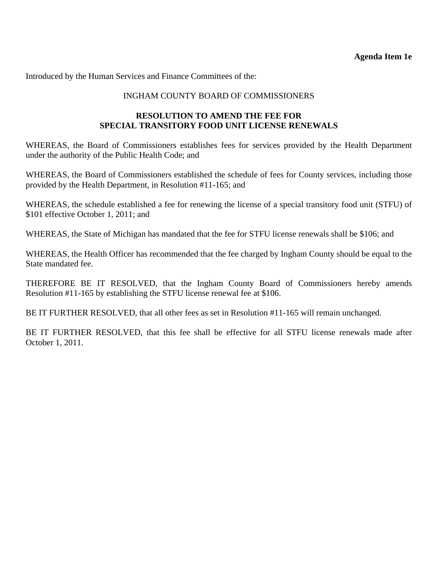Introduced by the Human Services and Finance Committees of the:

## INGHAM COUNTY BOARD OF COMMISSIONERS

## **RESOLUTION TO AMEND THE FEE FOR SPECIAL TRANSITORY FOOD UNIT LICENSE RENEWALS**

WHEREAS, the Board of Commissioners establishes fees for services provided by the Health Department under the authority of the Public Health Code; and

WHEREAS, the Board of Commissioners established the schedule of fees for County services, including those provided by the Health Department, in Resolution #11-165; and

WHEREAS, the schedule established a fee for renewing the license of a special transitory food unit (STFU) of \$101 effective October 1, 2011; and

WHEREAS, the State of Michigan has mandated that the fee for STFU license renewals shall be \$106; and

WHEREAS, the Health Officer has recommended that the fee charged by Ingham County should be equal to the State mandated fee.

THEREFORE BE IT RESOLVED, that the Ingham County Board of Commissioners hereby amends Resolution #11-165 by establishing the STFU license renewal fee at \$106.

BE IT FURTHER RESOLVED, that all other fees as set in Resolution #11-165 will remain unchanged.

BE IT FURTHER RESOLVED, that this fee shall be effective for all STFU license renewals made after October 1, 2011.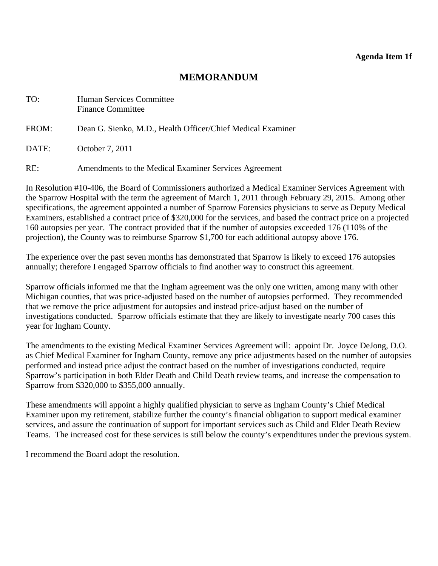#### **Agenda Item 1f**

# **MEMORANDUM**

<span id="page-18-0"></span>

| TO:   | <b>Human Services Committee</b><br><b>Finance Committee</b> |
|-------|-------------------------------------------------------------|
| FROM: | Dean G. Sienko, M.D., Health Officer/Chief Medical Examiner |
| DATE: | October 7, 2011                                             |
| RE:   | Amendments to the Medical Examiner Services Agreement       |

In Resolution #10-406, the Board of Commissioners authorized a Medical Examiner Services Agreement with the Sparrow Hospital with the term the agreement of March 1, 2011 through February 29, 2015. Among other specifications, the agreement appointed a number of Sparrow Forensics physicians to serve as Deputy Medical Examiners, established a contract price of \$320,000 for the services, and based the contract price on a projected 160 autopsies per year. The contract provided that if the number of autopsies exceeded 176 (110% of the projection), the County was to reimburse Sparrow \$1,700 for each additional autopsy above 176.

The experience over the past seven months has demonstrated that Sparrow is likely to exceed 176 autopsies annually; therefore I engaged Sparrow officials to find another way to construct this agreement.

Sparrow officials informed me that the Ingham agreement was the only one written, among many with other Michigan counties, that was price-adjusted based on the number of autopsies performed. They recommended that we remove the price adjustment for autopsies and instead price-adjust based on the number of investigations conducted. Sparrow officials estimate that they are likely to investigate nearly 700 cases this year for Ingham County.

The amendments to the existing Medical Examiner Services Agreement will: appoint Dr. Joyce DeJong, D.O. as Chief Medical Examiner for Ingham County, remove any price adjustments based on the number of autopsies performed and instead price adjust the contract based on the number of investigations conducted, require Sparrow's participation in both Elder Death and Child Death review teams, and increase the compensation to Sparrow from \$320,000 to \$355,000 annually.

These amendments will appoint a highly qualified physician to serve as Ingham County's Chief Medical Examiner upon my retirement, stabilize further the county's financial obligation to support medical examiner services, and assure the continuation of support for important services such as Child and Elder Death Review Teams. The increased cost for these services is still below the county's expenditures under the previous system.

I recommend the Board adopt the resolution.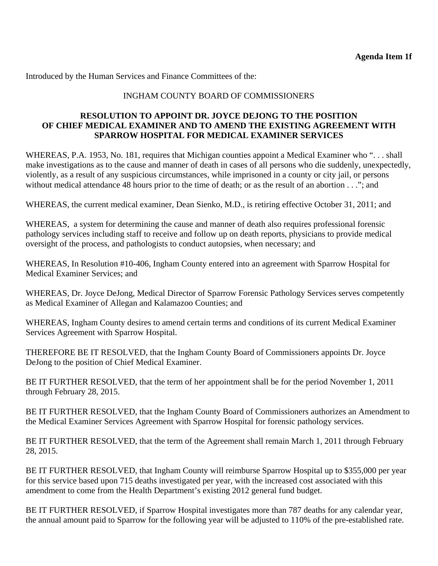Introduced by the Human Services and Finance Committees of the:

# INGHAM COUNTY BOARD OF COMMISSIONERS

## **RESOLUTION TO APPOINT DR. JOYCE DEJONG TO THE POSITION OF CHIEF MEDICAL EXAMINER AND TO AMEND THE EXISTING AGREEMENT WITH SPARROW HOSPITAL FOR MEDICAL EXAMINER SERVICES**

WHEREAS, P.A. 1953, No. 181, requires that Michigan counties appoint a Medical Examiner who ". . . shall make investigations as to the cause and manner of death in cases of all persons who die suddenly, unexpectedly, violently, as a result of any suspicious circumstances, while imprisoned in a county or city jail, or persons without medical attendance 48 hours prior to the time of death; or as the result of an abortion . . ."; and

WHEREAS, the current medical examiner, Dean Sienko, M.D., is retiring effective October 31, 2011; and

WHEREAS, a system for determining the cause and manner of death also requires professional forensic pathology services including staff to receive and follow up on death reports, physicians to provide medical oversight of the process, and pathologists to conduct autopsies, when necessary; and

WHEREAS, In Resolution #10-406, Ingham County entered into an agreement with Sparrow Hospital for Medical Examiner Services; and

WHEREAS, Dr. Joyce DeJong, Medical Director of Sparrow Forensic Pathology Services serves competently as Medical Examiner of Allegan and Kalamazoo Counties; and

WHEREAS, Ingham County desires to amend certain terms and conditions of its current Medical Examiner Services Agreement with Sparrow Hospital.

THEREFORE BE IT RESOLVED, that the Ingham County Board of Commissioners appoints Dr. Joyce DeJong to the position of Chief Medical Examiner.

BE IT FURTHER RESOLVED, that the term of her appointment shall be for the period November 1, 2011 through February 28, 2015.

BE IT FURTHER RESOLVED, that the Ingham County Board of Commissioners authorizes an Amendment to the Medical Examiner Services Agreement with Sparrow Hospital for forensic pathology services.

BE IT FURTHER RESOLVED, that the term of the Agreement shall remain March 1, 2011 through February 28, 2015.

BE IT FURTHER RESOLVED, that Ingham County will reimburse Sparrow Hospital up to \$355,000 per year for this service based upon 715 deaths investigated per year, with the increased cost associated with this amendment to come from the Health Department's existing 2012 general fund budget.

BE IT FURTHER RESOLVED, if Sparrow Hospital investigates more than 787 deaths for any calendar year, the annual amount paid to Sparrow for the following year will be adjusted to 110% of the pre-established rate.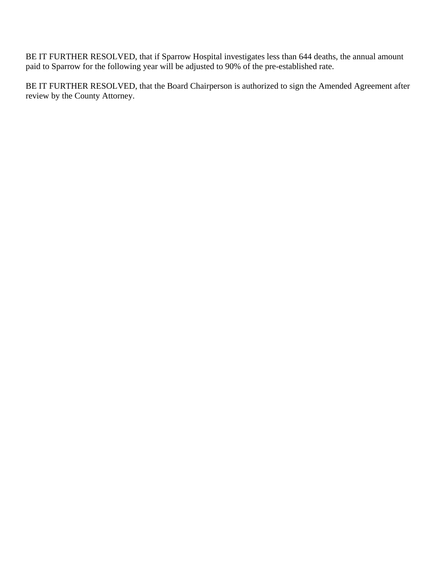BE IT FURTHER RESOLVED, that if Sparrow Hospital investigates less than 644 deaths, the annual amount paid to Sparrow for the following year will be adjusted to 90% of the pre-established rate.

BE IT FURTHER RESOLVED, that the Board Chairperson is authorized to sign the Amended Agreement after review by the County Attorney.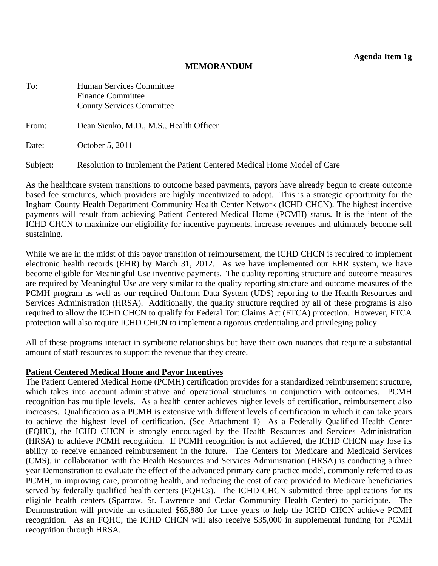**Agenda Item 1g** 

#### **MEMORANDUM**

<span id="page-21-0"></span>

| To:      | Human Services Committee<br><b>Finance Committee</b><br><b>County Services Committee</b> |
|----------|------------------------------------------------------------------------------------------|
| From:    | Dean Sienko, M.D., M.S., Health Officer                                                  |
| Date:    | October 5, 2011                                                                          |
| Subject: | Resolution to Implement the Patient Centered Medical Home Model of Care                  |

As the healthcare system transitions to outcome based payments, payors have already begun to create outcome based fee structures, which providers are highly incentivized to adopt. This is a strategic opportunity for the Ingham County Health Department Community Health Center Network (ICHD CHCN). The highest incentive payments will result from achieving Patient Centered Medical Home (PCMH) status. It is the intent of the ICHD CHCN to maximize our eligibility for incentive payments, increase revenues and ultimately become self sustaining.

While we are in the midst of this payor transition of reimbursement, the ICHD CHCN is required to implement electronic health records (EHR) by March 31, 2012. As we have implemented our EHR system, we have become eligible for Meaningful Use inventive payments. The quality reporting structure and outcome measures are required by Meaningful Use are very similar to the quality reporting structure and outcome measures of the PCMH program as well as our required Uniform Data System (UDS) reporting to the Health Resources and Services Administration (HRSA). Additionally, the quality structure required by all of these programs is also required to allow the ICHD CHCN to qualify for Federal Tort Claims Act (FTCA) protection. However, FTCA protection will also require ICHD CHCN to implement a rigorous credentialing and privileging policy.

All of these programs interact in symbiotic relationships but have their own nuances that require a substantial amount of staff resources to support the revenue that they create.

#### **Patient Centered Medical Home and Payor Incentives**

The Patient Centered Medical Home (PCMH) certification provides for a standardized reimbursement structure, which takes into account administrative and operational structures in conjunction with outcomes. PCMH recognition has multiple levels. As a health center achieves higher levels of certification, reimbursement also increases. Qualification as a PCMH is extensive with different levels of certification in which it can take years to achieve the highest level of certification. (See Attachment 1) As a Federally Qualified Health Center (FQHC), the ICHD CHCN is strongly encouraged by the Health Resources and Services Administration (HRSA) to achieve PCMH recognition. If PCMH recognition is not achieved, the ICHD CHCN may lose its ability to receive enhanced reimbursement in the future. The Centers for Medicare and Medicaid Services (CMS), in collaboration with the Health Resources and Services Administration (HRSA) is conducting a three year Demonstration to evaluate the effect of the advanced primary care practice model, commonly referred to as PCMH, in improving care, promoting health, and reducing the cost of care provided to Medicare beneficiaries served by federally qualified health centers (FQHCs). The ICHD CHCN submitted three applications for its eligible health centers (Sparrow, St. Lawrence and Cedar Community Health Center) to participate. The Demonstration will provide an estimated \$65,880 for three years to help the ICHD CHCN achieve PCMH recognition. As an FQHC, the ICHD CHCN will also receive \$35,000 in supplemental funding for PCMH recognition through HRSA.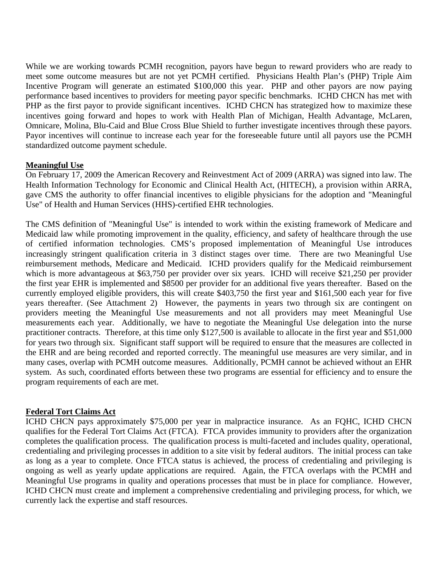While we are working towards PCMH recognition, payors have begun to reward providers who are ready to meet some outcome measures but are not yet PCMH certified. Physicians Health Plan's (PHP) Triple Aim Incentive Program will generate an estimated \$100,000 this year. PHP and other payors are now paying performance based incentives to providers for meeting payor specific benchmarks. ICHD CHCN has met with PHP as the first payor to provide significant incentives. ICHD CHCN has strategized how to maximize these incentives going forward and hopes to work with Health Plan of Michigan, Health Advantage, McLaren, Omnicare, Molina, Blu-Caid and Blue Cross Blue Shield to further investigate incentives through these payors. Payor incentives will continue to increase each year for the foreseeable future until all payors use the PCMH standardized outcome payment schedule.

#### **Meaningful Use**

On February 17, 2009 the American Recovery and Reinvestment Act of 2009 (ARRA) was signed into law. The Health Information Technology for Economic and Clinical Health Act, (HITECH), a provision within ARRA, gave CMS the authority to offer financial incentives to eligible physicians for the adoption and "Meaningful Use" of Health and Human Services (HHS)-certified EHR technologies.

The CMS definition of "Meaningful Use" is intended to work within the existing framework of Medicare and Medicaid law while promoting improvement in the quality, efficiency, and safety of healthcare through the use of certified information technologies. CMS's proposed implementation of Meaningful Use introduces increasingly stringent qualification criteria in 3 distinct stages over time. There are two Meaningful Use reimbursement methods, Medicare and Medicaid. ICHD providers qualify for the Medicaid reimbursement which is more advantageous at \$63,750 per provider over six years. ICHD will receive \$21,250 per provider the first year EHR is implemented and \$8500 per provider for an additional five years thereafter. Based on the currently employed eligible providers, this will create \$403,750 the first year and \$161,500 each year for five years thereafter. (See Attachment 2) However, the payments in years two through six are contingent on providers meeting the Meaningful Use measurements and not all providers may meet Meaningful Use measurements each year. Additionally, we have to negotiate the Meaningful Use delegation into the nurse practitioner contracts. Therefore, at this time only \$127,500 is available to allocate in the first year and \$51,000 for years two through six. Significant staff support will be required to ensure that the measures are collected in the EHR and are being recorded and reported correctly. The meaningful use measures are very similar, and in many cases, overlap with PCMH outcome measures. Additionally, PCMH cannot be achieved without an EHR system. As such, coordinated efforts between these two programs are essential for efficiency and to ensure the program requirements of each are met.

#### **Federal Tort Claims Act**

ICHD CHCN pays approximately \$75,000 per year in malpractice insurance. As an FQHC, ICHD CHCN qualifies for the Federal Tort Claims Act (FTCA). FTCA provides immunity to providers after the organization completes the qualification process. The qualification process is multi-faceted and includes quality, operational, credentialing and privileging processes in addition to a site visit by federal auditors. The initial process can take as long as a year to complete. Once FTCA status is achieved, the process of credentialing and privileging is ongoing as well as yearly update applications are required. Again, the FTCA overlaps with the PCMH and Meaningful Use programs in quality and operations processes that must be in place for compliance. However, ICHD CHCN must create and implement a comprehensive credentialing and privileging process, for which, we currently lack the expertise and staff resources.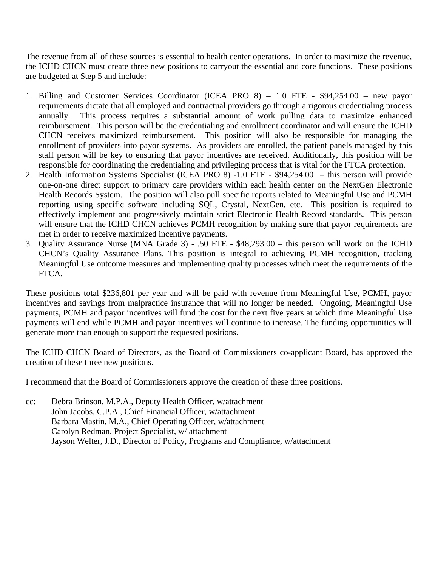The revenue from all of these sources is essential to health center operations. In order to maximize the revenue, the ICHD CHCN must create three new positions to carryout the essential and core functions. These positions are budgeted at Step 5 and include:

- 1. Billing and Customer Services Coordinator (ICEA PRO 8) 1.0 FTE \$94,254.00 new payor requirements dictate that all employed and contractual providers go through a rigorous credentialing process annually. This process requires a substantial amount of work pulling data to maximize enhanced reimbursement. This person will be the credentialing and enrollment coordinator and will ensure the ICHD CHCN receives maximized reimbursement. This position will also be responsible for managing the enrollment of providers into payor systems. As providers are enrolled, the patient panels managed by this staff person will be key to ensuring that payor incentives are received. Additionally, this position will be responsible for coordinating the credentialing and privileging process that is vital for the FTCA protection.
- 2. Health Information Systems Specialist (ICEA PRO 8) -1.0 FTE \$94,254.00 this person will provide one-on-one direct support to primary care providers within each health center on the NextGen Electronic Health Records System. The position will also pull specific reports related to Meaningful Use and PCMH reporting using specific software including SQL, Crystal, NextGen, etc. This position is required to effectively implement and progressively maintain strict Electronic Health Record standards. This person will ensure that the ICHD CHCN achieves PCMH recognition by making sure that payor requirements are met in order to receive maximized incentive payments.
- 3. Quality Assurance Nurse (MNA Grade 3) .50 FTE \$48,293.00 this person will work on the ICHD CHCN's Quality Assurance Plans. This position is integral to achieving PCMH recognition, tracking Meaningful Use outcome measures and implementing quality processes which meet the requirements of the FTCA.

These positions total \$236,801 per year and will be paid with revenue from Meaningful Use, PCMH, payor incentives and savings from malpractice insurance that will no longer be needed. Ongoing, Meaningful Use payments, PCMH and payor incentives will fund the cost for the next five years at which time Meaningful Use payments will end while PCMH and payor incentives will continue to increase. The funding opportunities will generate more than enough to support the requested positions.

The ICHD CHCN Board of Directors, as the Board of Commissioners co-applicant Board, has approved the creation of these three new positions.

I recommend that the Board of Commissioners approve the creation of these three positions.

cc: Debra Brinson, M.P.A., Deputy Health Officer, w/attachment John Jacobs, C.P.A., Chief Financial Officer, w/attachment Barbara Mastin, M.A., Chief Operating Officer, w/attachment Carolyn Redman, Project Specialist, w/ attachment Jayson Welter, J.D., Director of Policy, Programs and Compliance, w/attachment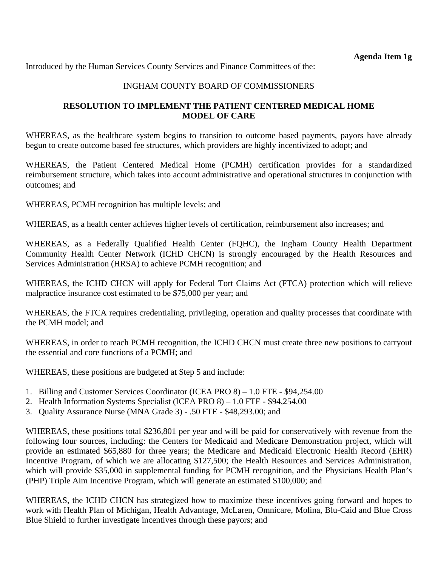Introduced by the Human Services County Services and Finance Committees of the:

#### INGHAM COUNTY BOARD OF COMMISSIONERS

#### **RESOLUTION TO IMPLEMENT THE PATIENT CENTERED MEDICAL HOME MODEL OF CARE**

WHEREAS, as the healthcare system begins to transition to outcome based payments, payors have already begun to create outcome based fee structures, which providers are highly incentivized to adopt; and

WHEREAS, the Patient Centered Medical Home (PCMH) certification provides for a standardized reimbursement structure, which takes into account administrative and operational structures in conjunction with outcomes; and

WHEREAS, PCMH recognition has multiple levels; and

WHEREAS, as a health center achieves higher levels of certification, reimbursement also increases; and

WHEREAS, as a Federally Qualified Health Center (FQHC), the Ingham County Health Department Community Health Center Network (ICHD CHCN) is strongly encouraged by the Health Resources and Services Administration (HRSA) to achieve PCMH recognition; and

WHEREAS, the ICHD CHCN will apply for Federal Tort Claims Act (FTCA) protection which will relieve malpractice insurance cost estimated to be \$75,000 per year; and

WHEREAS, the FTCA requires credentialing, privileging, operation and quality processes that coordinate with the PCMH model; and

WHEREAS, in order to reach PCMH recognition, the ICHD CHCN must create three new positions to carryout the essential and core functions of a PCMH; and

WHEREAS, these positions are budgeted at Step 5 and include:

- 1. Billing and Customer Services Coordinator (ICEA PRO 8) 1.0 FTE \$94,254.00
- 2. Health Information Systems Specialist (ICEA PRO 8) 1.0 FTE \$94,254.00
- 3. Quality Assurance Nurse (MNA Grade 3) .50 FTE \$48,293.00; and

WHEREAS, these positions total \$236,801 per year and will be paid for conservatively with revenue from the following four sources, including: the Centers for Medicaid and Medicare Demonstration project, which will provide an estimated \$65,880 for three years; the Medicare and Medicaid Electronic Health Record (EHR) Incentive Program, of which we are allocating \$127,500; the Health Resources and Services Administration, which will provide \$35,000 in supplemental funding for PCMH recognition, and the Physicians Health Plan's (PHP) Triple Aim Incentive Program, which will generate an estimated \$100,000; and

WHEREAS, the ICHD CHCN has strategized how to maximize these incentives going forward and hopes to work with Health Plan of Michigan, Health Advantage, McLaren, Omnicare, Molina, Blu-Caid and Blue Cross Blue Shield to further investigate incentives through these payors; and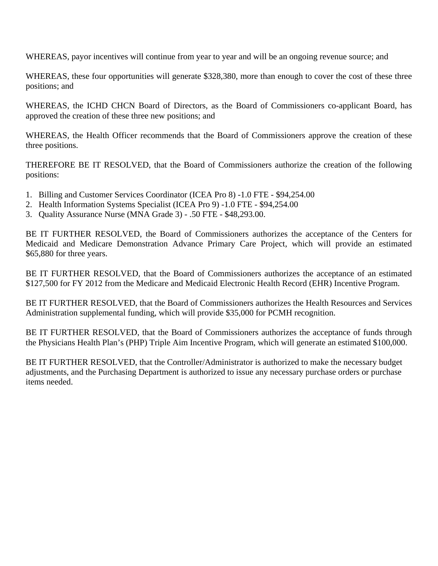WHEREAS, payor incentives will continue from year to year and will be an ongoing revenue source; and

WHEREAS, these four opportunities will generate \$328,380, more than enough to cover the cost of these three positions; and

WHEREAS, the ICHD CHCN Board of Directors, as the Board of Commissioners co-applicant Board, has approved the creation of these three new positions; and

WHEREAS, the Health Officer recommends that the Board of Commissioners approve the creation of these three positions.

THEREFORE BE IT RESOLVED, that the Board of Commissioners authorize the creation of the following positions:

- 1. Billing and Customer Services Coordinator (ICEA Pro 8) -1.0 FTE \$94,254.00
- 2. Health Information Systems Specialist (ICEA Pro 9) -1.0 FTE \$94,254.00
- 3. Quality Assurance Nurse (MNA Grade 3) .50 FTE \$48,293.00.

BE IT FURTHER RESOLVED, the Board of Commissioners authorizes the acceptance of the Centers for Medicaid and Medicare Demonstration Advance Primary Care Project, which will provide an estimated \$65,880 for three years.

BE IT FURTHER RESOLVED, that the Board of Commissioners authorizes the acceptance of an estimated \$127,500 for FY 2012 from the Medicare and Medicaid Electronic Health Record (EHR) Incentive Program.

BE IT FURTHER RESOLVED, that the Board of Commissioners authorizes the Health Resources and Services Administration supplemental funding, which will provide \$35,000 for PCMH recognition.

BE IT FURTHER RESOLVED, that the Board of Commissioners authorizes the acceptance of funds through the Physicians Health Plan's (PHP) Triple Aim Incentive Program, which will generate an estimated \$100,000.

BE IT FURTHER RESOLVED, that the Controller/Administrator is authorized to make the necessary budget adjustments, and the Purchasing Department is authorized to issue any necessary purchase orders or purchase items needed.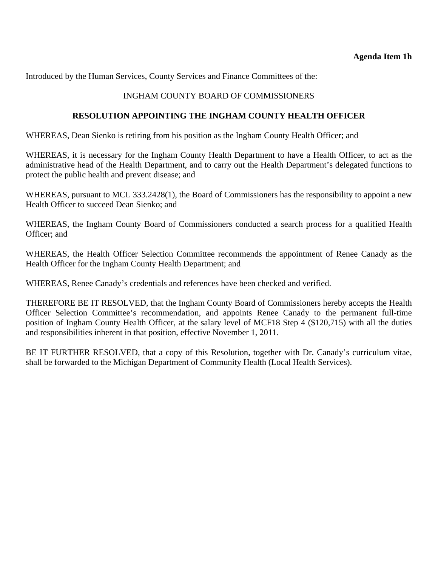<span id="page-26-0"></span>Introduced by the Human Services, County Services and Finance Committees of the:

# INGHAM COUNTY BOARD OF COMMISSIONERS

#### **RESOLUTION APPOINTING THE INGHAM COUNTY HEALTH OFFICER**

WHEREAS, Dean Sienko is retiring from his position as the Ingham County Health Officer; and

WHEREAS, it is necessary for the Ingham County Health Department to have a Health Officer, to act as the administrative head of the Health Department, and to carry out the Health Department's delegated functions to protect the public health and prevent disease; and

WHEREAS, pursuant to MCL 333.2428(1), the Board of Commissioners has the responsibility to appoint a new Health Officer to succeed Dean Sienko; and

WHEREAS, the Ingham County Board of Commissioners conducted a search process for a qualified Health Officer; and

WHEREAS, the Health Officer Selection Committee recommends the appointment of Renee Canady as the Health Officer for the Ingham County Health Department; and

WHEREAS, Renee Canady's credentials and references have been checked and verified.

THEREFORE BE IT RESOLVED, that the Ingham County Board of Commissioners hereby accepts the Health Officer Selection Committee's recommendation, and appoints Renee Canady to the permanent full-time position of Ingham County Health Officer, at the salary level of MCF18 Step 4 (\$120,715) with all the duties and responsibilities inherent in that position, effective November 1, 2011.

BE IT FURTHER RESOLVED, that a copy of this Resolution, together with Dr. Canady's curriculum vitae, shall be forwarded to the Michigan Department of Community Health (Local Health Services).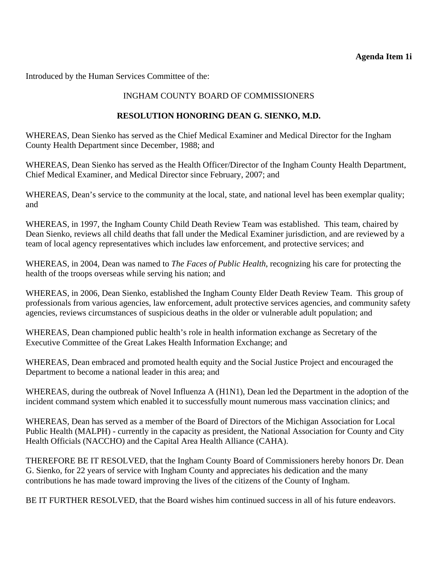## **Agenda Item 1i**

<span id="page-27-0"></span>Introduced by the Human Services Committee of the:

# INGHAM COUNTY BOARD OF COMMISSIONERS

# **RESOLUTION HONORING DEAN G. SIENKO, M.D.**

WHEREAS, Dean Sienko has served as the Chief Medical Examiner and Medical Director for the Ingham County Health Department since December, 1988; and

WHEREAS, Dean Sienko has served as the Health Officer/Director of the Ingham County Health Department, Chief Medical Examiner, and Medical Director since February, 2007; and

WHEREAS, Dean's service to the community at the local, state, and national level has been exemplar quality; and

WHEREAS, in 1997, the Ingham County Child Death Review Team was established. This team, chaired by Dean Sienko, reviews all child deaths that fall under the Medical Examiner jurisdiction, and are reviewed by a team of local agency representatives which includes law enforcement, and protective services; and

WHEREAS, in 2004, Dean was named to *The Faces of Public Health*, recognizing his care for protecting the health of the troops overseas while serving his nation; and

WHEREAS, in 2006, Dean Sienko, established the Ingham County Elder Death Review Team. This group of professionals from various agencies, law enforcement, adult protective services agencies, and community safety agencies, reviews circumstances of suspicious deaths in the older or vulnerable adult population; and

WHEREAS, Dean championed public health's role in health information exchange as Secretary of the Executive Committee of the Great Lakes Health Information Exchange; and

WHEREAS, Dean embraced and promoted health equity and the Social Justice Project and encouraged the Department to become a national leader in this area; and

WHEREAS, during the outbreak of Novel Influenza A (H1N1), Dean led the Department in the adoption of the incident command system which enabled it to successfully mount numerous mass vaccination clinics; and

WHEREAS, Dean has served as a member of the Board of Directors of the Michigan Association for Local Public Health (MALPH) - currently in the capacity as president, the National Association for County and City Health Officials (NACCHO) and the Capital Area Health Alliance (CAHA).

THEREFORE BE IT RESOLVED, that the Ingham County Board of Commissioners hereby honors Dr. Dean G. Sienko, for 22 years of service with Ingham County and appreciates his dedication and the many contributions he has made toward improving the lives of the citizens of the County of Ingham.

BE IT FURTHER RESOLVED, that the Board wishes him continued success in all of his future endeavors.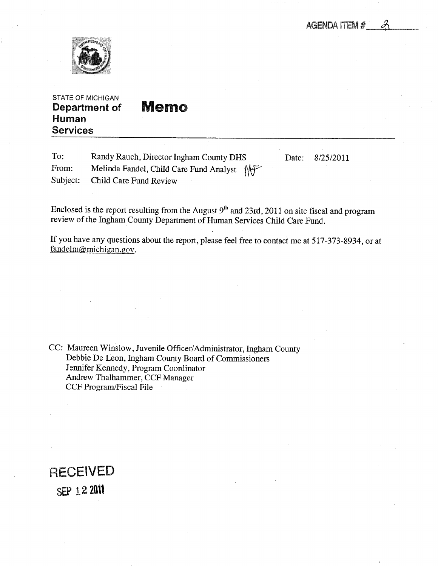AGENDA ITEM #

<span id="page-28-0"></span>

STATE OF MICHIGAN Department of Human Services

| <b>Memo</b> |  |  |
|-------------|--|--|
|             |  |  |

| To:   | Randy Rauch, Director Ingham County DHS    | Date: | 8/25/2011 |
|-------|--------------------------------------------|-------|-----------|
| From: | Melinda Fandel, Child Care Fund Analyst MF |       |           |
|       | Subject: Child Care Fund Review            |       |           |

Enclosed is the report resulting from the August  $9<sup>th</sup>$  and 23rd, 2011 on site fiscal and program review of the Ingham County Department of Human Services Child Care Fund.

If you have any questions about the report, please feel free to contact me at 517-373-8934, or at fandelm@michigan.gov.

CC: Maureen Winslow, Juvenile Officer/Administrator, Ingham County Debbie De Leon, Ingham County Board of Commissioners Jennifer Kennedy, Program Coordinator Andrew Thalhammer, CCF Manager CCF Program/Fiscal File

**RECEIVED** SEP 122011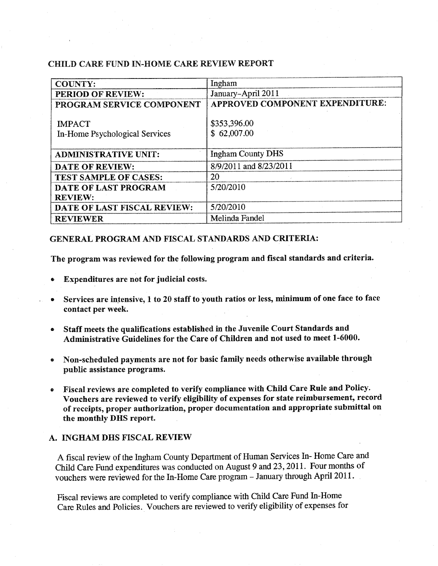#### CHILD CARE FUND IN-HOME CARE REVIEW REPORT

| <b>COUNTY:</b>                                  | Ingham                          |
|-------------------------------------------------|---------------------------------|
| PERIOD OF REVIEW:                               | January-April 2011              |
| PROGRAM SERVICE COMPONENT                       | APPROVED COMPONENT EXPENDITURE: |
| <b>IMPACT</b><br>In-Home Psychological Services | \$353,396.00<br>\$62,007.00     |
| <b>ADMINISTRATIVE UNIT:</b>                     | <b>Ingham County DHS</b>        |
| <b>DATE OF REVIEW:</b>                          | 8/9/2011 and 8/23/2011          |
| <b>TEST SAMPLE OF CASES:</b>                    | 20                              |
| DATE OF LAST PROGRAM                            | 5/20/2010                       |
| <b>REVIEW:</b>                                  |                                 |
| DATE OF LAST FISCAL REVIEW:                     | 5/20/2010                       |
| <b>REVIEWER</b>                                 | Melinda Fandel                  |

#### GENERAL PROGRAM AND FISCAL STANDARDS AND CRITERIA:

The program was reviewed for the following program and fiscal standards and criteria.

- Expenditures are not for judicial costs.
- Services are intensive, 1 to 20 staff to youth ratios or less, minimum of one face to face contact per week.
- Staff meets the qualifications established in the Juvenile Court Standards and Administrative Guidelines for the Care of Children and not used to meet 1-6000.
- Non-scheduled payments are not for basic family needs otherwise available through public assistance programs.
- Fiscal reviews are completed to verify compliance with Child Care Rule and Policy.  $\bullet$ Vouchers are reviewed to verify eligibility of expenses for state reimbursement, record of receipts, proper authorization, proper documentation and appropriate submittal on the monthly DHS report.

#### A. INGHAM DHS FISCAL REVIEW

fiscal review of the Ingham County Department of Human Services In- Home Care and Child Care Fund expenditures was conducted on August 9 and 23, 2011. Four months of vouchers were reviewed for the In-Home Care program - January through April 2011.

Fiscal reviews are completed to verify compliance with Child Care Fund In-Home Care Rules and Policies. Vouchers are reviewed to verify eligibility of expenses for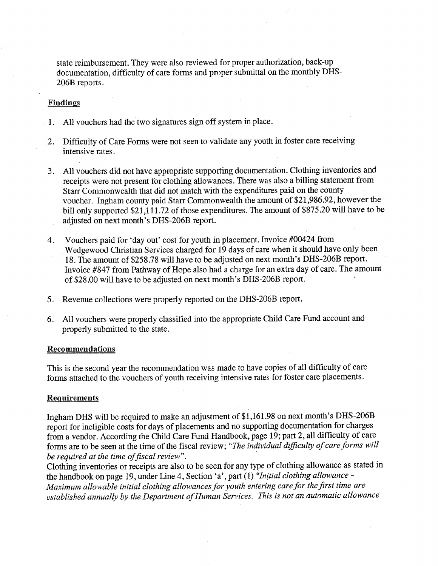state reimbursement. They were also reviewed for proper authorization, back-up documentation, difficulty of care forms and proper submittal on the monthly DHS-206B reports.

#### Findings

- 1. All vouchers had the two signatures sign off system in place.
- 2. Difficulty of Care Forms were not seen to validate any youth in foster care receiving intensive rates.
- 3. All vouchers did not have appropriate supporting documentation. Clothing inventories and receipts were not present for clothing allowances. There was also a billing statement from Starr Commonwealth that did not match with the expenditures paid on the county voucher. Ingham county paid Starr Commonwealth the amount of \$21,986.92, however the bill only supported \$21,111.72 of those expenditures. The amount of \$875.20 will have to be adjusted on next month's DHS-206B report.
- 4. Vouchers paid for 'day out' cost for youth in placement. Invoice #00424 from Wedgewood Christian Services charged for 19 days of care when it should have only been 18. The amount of \$258.78 will have to be adjusted on next month's DHS-206B report. Invoice #847 from Pathway of Hope also had charge for an extra day of care. The amount of \$28.00 will have to be adjusted on next month's DHS-206B report.
- 5. Revenue collections were properly reported on the DHS-206B report.
- 6. All vouchers were properly classified into the appropriate Child Care Fund account and properly submitted to the state.

#### Recommendations

This is the second year the recommendation was made to have copies of all difficulty of care forms attached to the vouchers of youth receiving intensive rates for foster care placements.

#### Requirements

Ingham DHS will be required to make an adjustment of \$1,161.98 on next month's DHS-206B report for ineligible costs for days of placements and no supporting documentation for charges from a vendor. According the Child Care Fund Handbook, page 19; part 2, all difficulty of care forms are to be seen at the time of the fiscal review; "The individual difficulty of care forms will be required at the time of fiscal review".

Clothing inventories or receipts are also to be seen for any type of clothing allowance as stated in the handbook on page 19, under Line 4, Section 'a', part (1) <sup>a</sup>Initial clothing allowance -Maximum allowable initial clothing allowances for youth entering care for the first time are established annually by the Department of Human Services. This is not an automatic allowance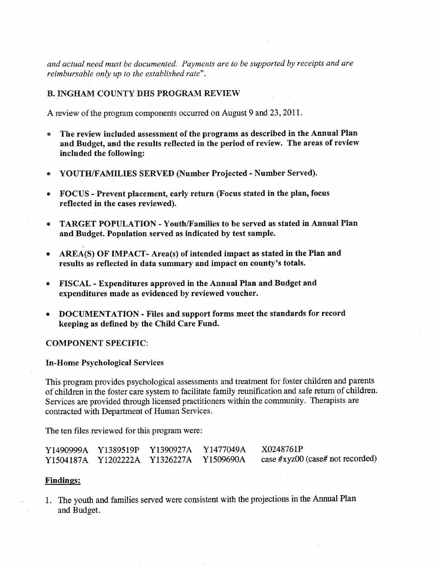and actual need must be documented. Payments are to be supported by receipts and are reimbursable only up to the established rate".

#### B. INGHAM COUNTY DHS PROGRAM REVIEW

A review of the program components occurred on August 9 and 23, 2011.

- The review included assessment of the programs as described in the Annual Plan and Budget, and the results reflected in the period of review. The areas of review included the following:
- YOUTH/FAMILIES SERVED (Number Projected Number Served).
- FOCUS Prevent placement, early return (Focus stated in the plan, focus reflected in the cases reviewed).
- TARGET POPULATION Youth/Families to be served as stated in Annual Plan and Budget. Population served as indicated by test sample.
- AREA(S) OF IMPACT- Area(s) of intended impact as stated in the Plan and  $\bullet$ results as reflected in data summary and impact on county's totals.
- FISCAL Expenditures approved in the Annual Plan and Budget and expenditures made as evidenced by reviewed voucher.
- DOCUMENTATION Files and support forms meet the standards for record keeping as defined by the Child Care Fund.

#### COMPONENT SPECIFIC:

#### In-Home Psychological Services

This program provides psychological assessments and treatment for foster children and parents of children in the foster care system to facilitate family reunification and safe return of children. Services are provided through licensed practitioners within the community. Therapists are contracted with Department of Human Services.

The ten files reviewed for this program were:

|  | Y1490999A Y1389519P Y1390927A Y1477049A | X0248761P                        |
|--|-----------------------------------------|----------------------------------|
|  | Y1504187A Y1202222A Y1326227A Y1509690A | case #xyz00 (case# not recorded) |

#### Findings:

1. The youth and families served were consistent with the projections in the Annual Plan and Budget.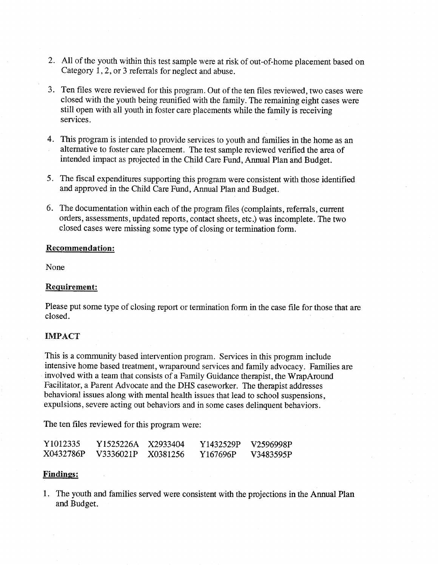- 2. All of the youth within this test sample were at risk of out-of-home placement based on Category 1,2, or 3 referrals for neglect and abuse.
- 3. Ten files were reviewed for this program. Out of the ten files reviewed, two cases were closed with the youth being reunified with the family. The remaining eight cases were still open with all youth in foster care placements while the family is receiving services.
- 4. This program is intended to provide services to youth and families in the home as an alternative to foster care placement. The test sample reviewed verified the area of intended impact as projected in the Child Care Fund, Annual Plan and Budget.
- 5. The fiscal expenditures supporting this program were consistent with those identified and approved in the Child Care Fund, Annual Plan and Budget.
- 6. The documentation within each of the program files (complaints, referrals, current orders, assessments, updated reports, contact sheets, etc.) was incomplete. The two closed cases were missing some type of closing or termination form.

#### Recommendation:

None

#### Requirement:

Please put some type of closing report or termination form in the case file for those that are closed.

#### IMPACT

This is community based intervention program. Services in this program include intensive home based treatment, wraparound services and family advocacy. Families are involved with a team that consists of a Family Guidance therapist, the WrapAround Facilitator, a Parent Advocate and the DHS caseworker. The therapist addresses behavioral issues along with mental health issues that lead to school suspensions, expulsions, severe acting out behaviors and in some cases delinquent behaviors.

The ten files reviewed for this program were:

| Y1012335  | Y1525226A | X2933404 | Y1432529P | V2596998P |
|-----------|-----------|----------|-----------|-----------|
| X0432786P | V3336021P | X0381256 | Y167696P  | V3483595P |

#### Findings:

1. The youth and families served were consistent with the projections in the Annual Plan and Budget.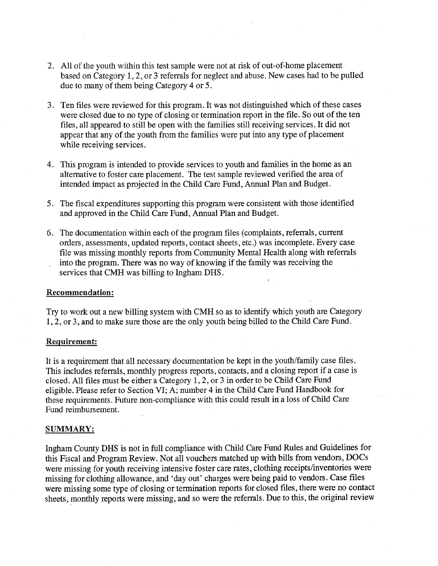- 2. All of the youth within this test sample were not at risk of out-of-home placement based on Category  $1, 2$ , or  $3$  referrals for neglect and abuse. New cases had to be pulled due to many of them being Category 4 or 5.
- 3. Ten files were reviewed for this program. It was not distinguished which of these cases were closed due to no type of closing or termination report in the file. So out of the ten files, all appeared to still be open with the families still receiving services. It did not appear that any of the youth from the families were put into any type of placement while receiving services.
- 4. This program is intended to provide services to youth and families in the home as an alternative to foster care placement. The test sample reviewed verified the area of intended impact as projected in the Child Care Fund, Annual Plan and Budget.
- 5. The fiscal expenditures supporting this program were consistent with those identified and approved in the Child Care Fund, Annual Plan and Budget.
- 6. The documentation within each of the program files (complaints, referrals, current orders, assessments, updated reports, contact sheets, etc.) was incomplete. Every case file was missing monthly reports from Community Mental Health along with referrals into the program. There was no way of knowing if the family was receiving the services that CMH was billing to Ingham DHS.

#### Recommendation:

Try to work out a new billing system with CMH so as to identify which youth are Category 1,2, or 3, and to make sure those are the only youth being billed to the Child Care Fund.

#### Requirement:

It is a requirement that all necessary documentation be kept in the youth/family case files. This includes referrals, monthly progress reports, contacts, and a closing report if a case is closed. All files must be either a Category  $1, 2,$  or  $3$  in order to be Child Care Fund eligible. Please refer to Section VI; A; number 4 in the Child Care Fund Handbook for these requirements. Future non-compliance with this could result in a loss of Child Care Fund reimbursement.

#### SUMMARY:

Ingham County DHS is not in full compliance with Child Care Fund Rules and Guidelines for this Fiscal and Program Review. Not all vouchers matched up with bills from vendors, DOCs were missing for youth receiving intensive foster care rates, clothing receipts/inventories were missing for clothing allowance, and 'day out' charges were being paid to vendors. Case files were missing some type of closing or termination reports for closed files, there were no contact sheets, monthly reports were missing, and so were the referrals. Due to this, the original review